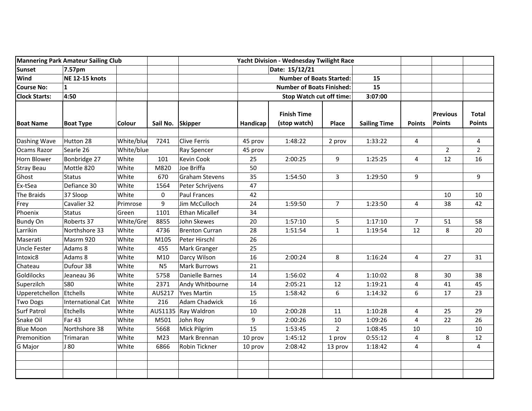| <b>Mannering Park Amateur Sailing Club</b> |                       |            | Yacht Division - Wednesday Twilight Race |                       |                                  |                                    |                |                     |                |                           |                               |
|--------------------------------------------|-----------------------|------------|------------------------------------------|-----------------------|----------------------------------|------------------------------------|----------------|---------------------|----------------|---------------------------|-------------------------------|
| <b>Sunset</b>                              | 7.57pm                |            |                                          |                       |                                  | Date: 15/12/21                     |                |                     |                |                           |                               |
| Wind                                       | <b>NE 12-15 knots</b> |            |                                          |                       | <b>Number of Boats Started:</b>  |                                    |                | 15                  |                |                           |                               |
| <b>Course No:</b>                          | 1                     |            |                                          |                       | <b>Number of Boats Finished:</b> |                                    |                | 15                  |                |                           |                               |
| <b>Clock Starts:</b>                       | 4:50                  |            |                                          |                       | Stop Watch cut off time:         |                                    |                | 3:07:00             |                |                           |                               |
| <b>Boat Name</b>                           | <b>Boat Type</b>      | Colour     | Sail No.                                 | <b>Skipper</b>        | Handicap                         | <b>Finish Time</b><br>(stop watch) | Place          | <b>Sailing Time</b> | <b>Points</b>  | <b>Previous</b><br>Points | <b>Total</b><br><b>Points</b> |
| Dashing Wave                               | Hutton 28             | White/blue | 7241                                     | <b>Clive Ferris</b>   | 45 prov                          | 1:48:22                            | 2 prov         | 1:33:22             | 4              |                           | 4                             |
| Ocams Razor                                | Searle 26             | White/blue |                                          | Ray Spencer           | 45 prov                          |                                    |                |                     |                | $\overline{2}$            | $\overline{2}$                |
| Horn Blower                                | Bonbridge 27          | White      | 101                                      | Kevin Cook            | 25                               | 2:00:25                            | 9              | 1:25:25             | 4              | 12                        | 16                            |
| <b>Stray Beau</b>                          | Mottle 820            | White      | M820                                     | Joe Briffa            | 50                               |                                    |                |                     |                |                           |                               |
| Ghost                                      | <b>Status</b>         | White      | 670                                      | Graham Stevens        | 35                               | 1:54:50                            | 3              | 1:29:50             | 9              |                           | 9                             |
| Ex-tSea                                    | Defiance 30           | White      | 1564                                     | Peter Schrijvens      | 47                               |                                    |                |                     |                |                           |                               |
| The Braids                                 | 37 Sloop              | White      | 0                                        | <b>Paul Frances</b>   | 42                               |                                    |                |                     |                | 10                        | 10                            |
| Frey                                       | Cavalier 32           | Primrose   | 9                                        | Jim McCulloch         | 24                               | 1:59:50                            | $\overline{7}$ | 1:23:50             | 4              | 38                        | 42                            |
| Phoenix                                    | <b>Status</b>         | Green      | 1101                                     | <b>Ethan Micallef</b> | 34                               |                                    |                |                     |                |                           |                               |
| <b>Bundy On</b>                            | Roberts 37            | White/Gre  | 8855                                     | John Skewes           | 20                               | 1:57:10                            | 5              | 1:17:10             | $\overline{7}$ | 51                        | 58                            |
| Larrikin                                   | Northshore 33         | White      | 4736                                     | <b>Brenton Curran</b> | 28                               | 1:51:54                            | $\mathbf{1}$   | 1:19:54             | 12             | 8                         | 20                            |
| Maserati                                   | Masrm 920             | White      | M105                                     | Peter Hirschl         | 26                               |                                    |                |                     |                |                           |                               |
| <b>Uncle Fester</b>                        | Adams 8               | White      | 455                                      | Mark Granger          | 25                               |                                    |                |                     |                |                           |                               |
| Intoxic8                                   | Adams 8               | White      | M10                                      | Darcy Wilson          | 16                               | 2:00:24                            | 8              | 1:16:24             | 4              | 27                        | 31                            |
| Chateau                                    | Dufour 38             | White      | N <sub>5</sub>                           | Mark Burrows          | 21                               |                                    |                |                     |                |                           |                               |
| Goldilocks                                 | Jeaneau 36            | White      | 5758                                     | Danielle Barnes       | 14                               | 1:56:02                            | 4              | 1:10:02             | 8              | 30                        | 38                            |
| Superzilch                                 | <b>S80</b>            | White      | 2371                                     | Andy Whitbourne       | 14                               | 2:05:21                            | 12             | 1:19:21             | 4              | 41                        | 45                            |
| Upperetchellon                             | Etchells              | White      | AUS217                                   | <b>Yves Martin</b>    | 15                               | 1:58:42                            | 6              | 1:14:32             | 6              | 17                        | 23                            |
| <b>Two Dogs</b>                            | International Cat     | White      | 216                                      | Adam Chadwick         | 16                               |                                    |                |                     |                |                           |                               |
| <b>Surf Patrol</b>                         | Etchells              | White      | AUS1135                                  | Ray Waldron           | $10\,$                           | 2:00:28                            | 11             | 1:10:28             | 4              | 25                        | 29                            |
| Snake Oil                                  | <b>Far 43</b>         | White      | M501                                     | John Roy              | 9                                | 2:00:26                            | 10             | 1:09:26             | 4              | 22                        | 26                            |
| <b>Blue Moon</b>                           | Northshore 38         | White      | 5668                                     | Mick Pilgrim          | 15                               | 1:53:45                            | $\overline{2}$ | 1:08:45             | 10             |                           | 10                            |
| Premonition                                | Trimaran              | White      | M <sub>23</sub>                          | Mark Brennan          | 10 prov                          | 1:45:12                            | 1 prov         | 0:55:12             | 4              | 8                         | 12                            |
| G Major                                    | J80                   | White      | 6866                                     | Robin Tickner         | 10 prov                          | 2:08:42                            | 13 prov        | 1:18:42             | 4              |                           | 4                             |
|                                            |                       |            |                                          |                       |                                  |                                    |                |                     |                |                           |                               |
|                                            |                       |            |                                          |                       |                                  |                                    |                |                     |                |                           |                               |